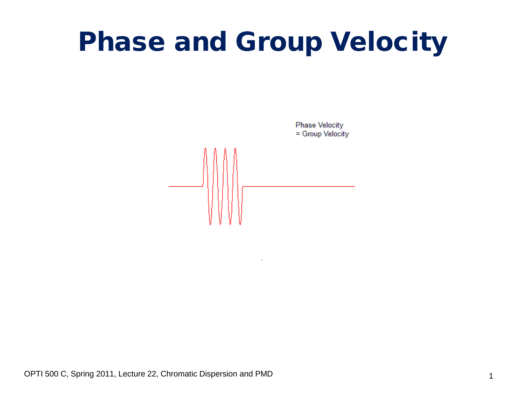# Phase and Group Velocity

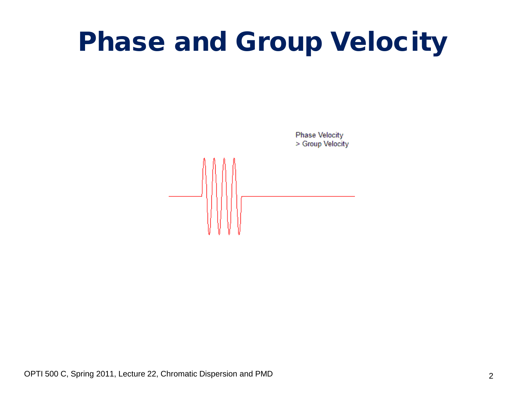# Phase and Group Velocity

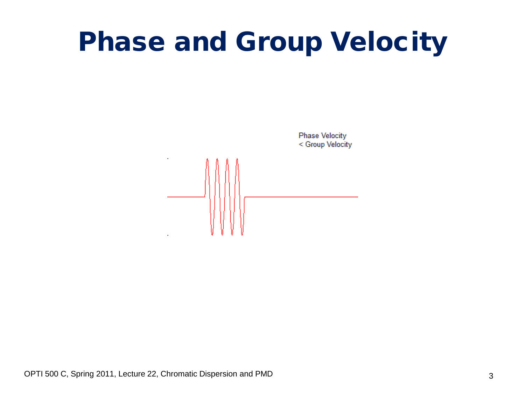# Phase and Group Velocity

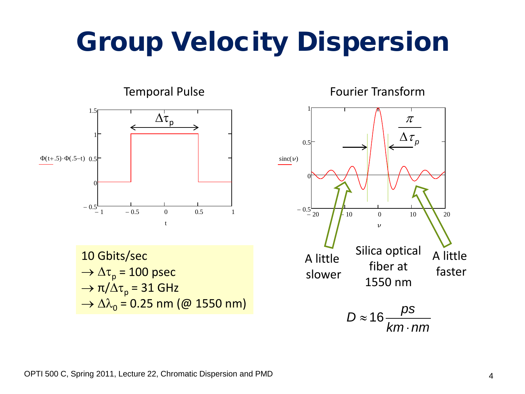# Group Velocity Dispersion

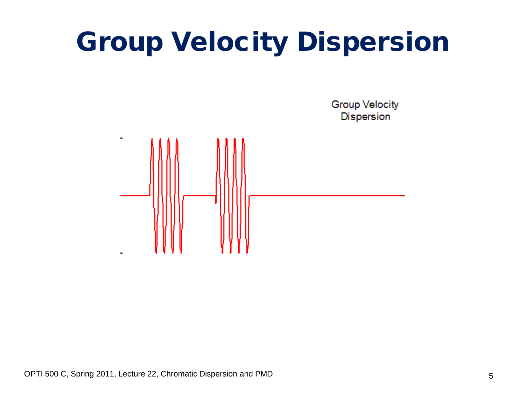# Group Velocity Dispersion

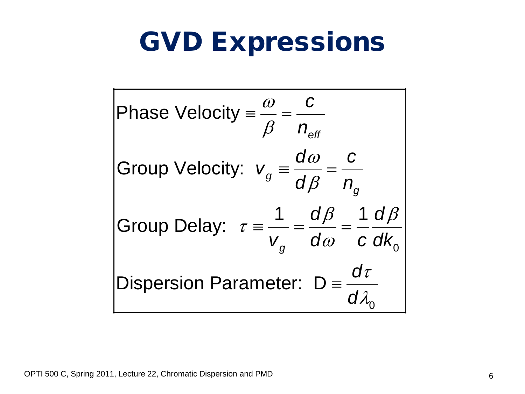### GVD Expressions

Phase Velocity = 
$$
\frac{\omega}{\beta} = \frac{c}{n_{\text{eff}}}
$$
  
\nGroup Velocity:  $v_g = \frac{d\omega}{d\beta} = \frac{c}{n_g}$   
\nGroup Delay:  $\tau = \frac{1}{v_g} = \frac{d\beta}{d\omega} = \frac{1}{c} \frac{d\beta}{dk_0}$   
\nDisperson Parameter:  $D = \frac{d\tau}{d\lambda_0}$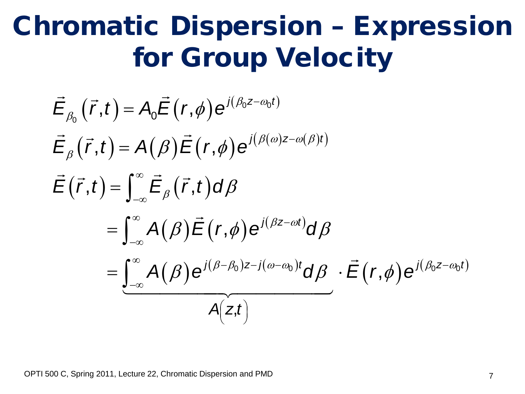### Chromatic Dispersion – Expression for Group Velocity

$$
\vec{E}_{\beta_0}(\vec{r},t) = A_0 \vec{E}(r,\phi) e^{j(\beta_0 z - \omega_0 t)}
$$
\n
$$
\vec{E}_{\beta}(\vec{r},t) = A(\beta) \vec{E}(r,\phi) e^{j(\beta(\omega) z - \omega(\beta)t)}
$$
\n
$$
\vec{E}(\vec{r},t) = \int_{-\infty}^{\infty} \vec{E}_{\beta}(\vec{r},t) d\beta
$$
\n
$$
= \int_{-\infty}^{\infty} A(\beta) \vec{E}(r,\phi) e^{j(\beta z - \omega t)} d\beta
$$
\n
$$
= \underbrace{\int_{-\infty}^{\infty} A(\beta) e^{j(\beta - \beta_0)z - j(\omega - \omega_0)t} d\beta}_{A(z,t)} \cdot \vec{E}(r,\phi) e^{j(\beta_0 z - \omega_0 t)}
$$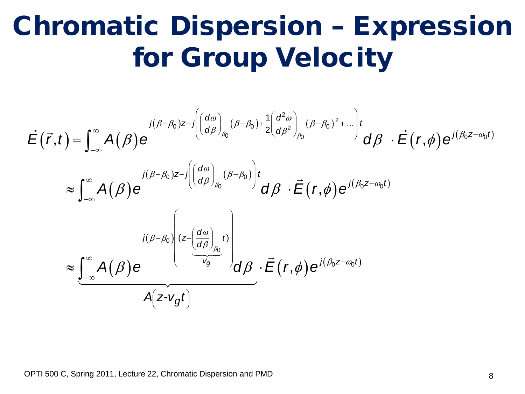### Chromatic Dispersion – Expression for Group Velocity

$$
\vec{E}(\vec{r},t) = \int_{-\infty}^{\infty} A(\beta) e^{j(\beta-\beta_0)z-j\left(\left(\frac{d\omega}{d\beta}\right)_{\beta_0}(\beta-\beta_0)+\frac{1}{2}\left(\frac{d^2\omega}{d\beta^2}\right)_{\beta_0}(\beta-\beta_0)^2+\dots\right)t} d\beta \cdot \vec{E}(r,\phi) e^{j(\beta_0z-\omega_0t)}
$$
\n
$$
\approx \int_{-\infty}^{\infty} A(\beta) e^{j(\beta-\beta_0)z-j\left(\left(\frac{d\omega}{d\beta}\right)_{\beta_0}(\beta-\beta_0)\right)t} d\beta \cdot \vec{E}(r,\phi) e^{j(\beta_0z-\omega_0t)}
$$
\n
$$
\approx \underbrace{\int_{-\infty}^{\infty} A(\beta) e^{j(\beta-\beta_0)z-j\left(\frac{d\omega}{d\beta}\right)_{\beta_0}t}}_{A(z-v_gt)} d\beta \cdot \vec{E}(r,\phi) e^{j(\beta_0z-\omega_0t)}
$$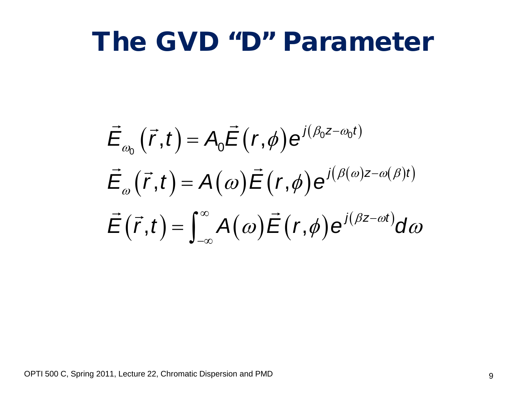#### The GVD "D" Parameter

$$
\vec{E}_{\omega_0}(\vec{r},t) = A_0 \vec{E}(r,\phi) e^{j(\beta_0 z - \omega_0 t)}
$$
\n
$$
\vec{E}_{\omega}(\vec{r},t) = A(\omega) \vec{E}(r,\phi) e^{j(\beta(\omega)z - \omega(\beta)t)}
$$
\n
$$
\vec{E}(\vec{r},t) = \int_{-\infty}^{\infty} A(\omega) \vec{E}(r,\phi) e^{j(\beta z - \omega t)} d\omega
$$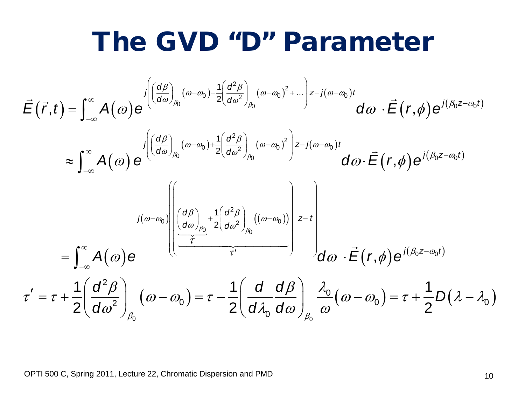#### The GVD "D" Parameter

$$
\vec{E}(\vec{r},t) = \int_{-\infty}^{\infty} A(\omega) e^{\int \left(\frac{d\beta}{d\omega}\right)_{\beta_{0}}(\omega-\omega_{0}) + \frac{1}{2}\left(\frac{d^{2}\beta}{d\omega^{2}}\right)_{\beta_{0}}(\omega-\omega_{0})^{2} + \dots}\right) z-j(\omega-\omega_{0})t} d\omega \cdot \vec{E}(r,\phi) e^{i(\beta_{0}z-\omega_{0}t)}
$$
\n
$$
\approx \int_{-\infty}^{\infty} A(\omega) e^{\int \left(\frac{d\beta}{d\omega}\right)_{\beta_{0}}(\omega-\omega_{0}) + \frac{1}{2}\left(\frac{d^{2}\beta}{d\omega^{2}}\right)_{\beta_{0}}(\omega-\omega_{0})^{2}\right) z-j(\omega-\omega_{0})t} d\omega \cdot \vec{E}(r,\phi) e^{i(\beta_{0}z-\omega_{0}t)}
$$
\n
$$
= \int_{-\infty}^{\infty} A(\omega) e^{\int \left(\frac{d\beta}{d\omega}\right)_{\beta_{0}} + \frac{1}{2}\left(\frac{d^{2}\beta}{d\omega^{2}}\right)_{\beta_{0}}((\omega-\omega_{0}))} z-t} d\omega \cdot \vec{E}(r,\phi) e^{i(\beta_{0}z-\omega_{0}t)}
$$
\n
$$
\tau' = \tau + \frac{1}{2}\left(\frac{d^{2}\beta}{d\omega^{2}}\right)_{\beta_{0}}(\omega-\omega_{0}) = \tau - \frac{1}{2}\left(\frac{d}{d\lambda_{0}}\frac{d\beta}{d\omega}\right)_{\beta_{0}}\frac{\lambda_{0}}{\omega}(\omega-\omega_{0}) = \tau + \frac{1}{2}D(\lambda-\lambda_{0})
$$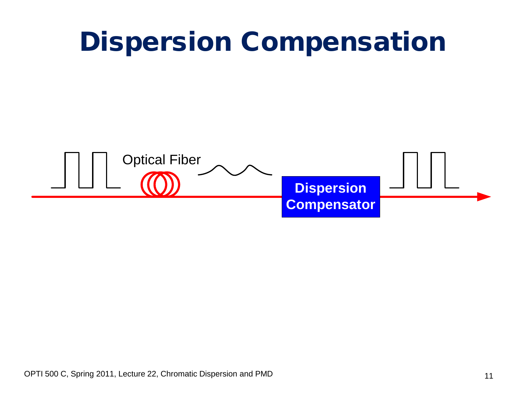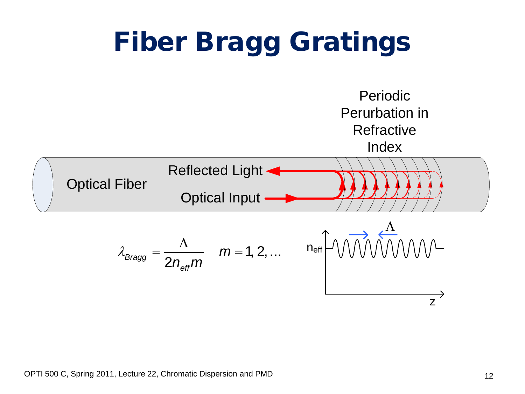#### Fiber Bragg Gratings Optical Fiber Periodic Perurbation in **Refractive Index** Optical Input Reflected Light n<sub>eff</sub> z Λ  $m_{Bragg} = \frac{1}{2 n_{\text{eff}}} m$   $m = 1, 2, ...$ *m*  $n_{\text{eff}}$ m  $\lambda_{Braca} = \frac{\Lambda}{2}$  m =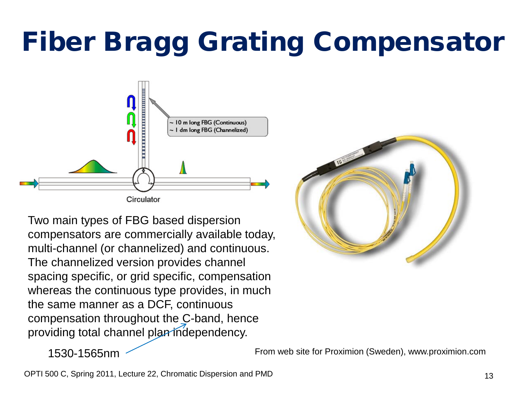# Fiber Bragg Grating Compensator



Two main types of FBG based dispersion compensators are commercially available today, multi-channel (or channelized) and continuous. The channelized version provides channel spacing specific, or grid specific, compensation whereas the continuous type provides, in much the same manner as a DCF, continuous compensation throughout the C-band, hence providing total channel plan independency.



1530-1565nm

From web site for Proximion (Sweden), www.proximion.com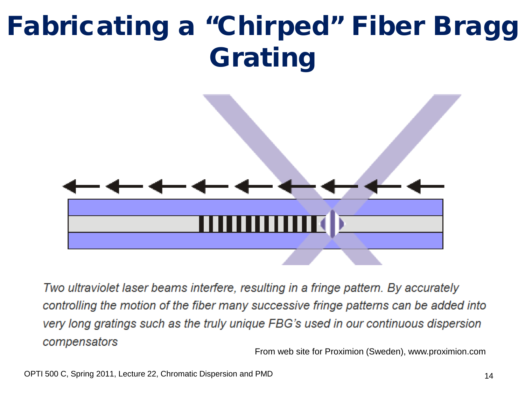# Fabricating a "Chirped" Fiber Bragg Grating



Two ultraviolet laser beams interfere, resulting in a fringe pattern. By accurately controlling the motion of the fiber many successive fringe patterns can be added into very long gratings such as the truly unique FBG's used in our continuous dispersion compensators

From web site for Proximion (Sweden), www.proximion.com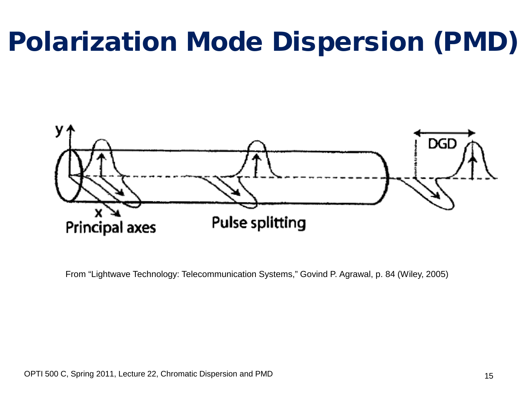# Polarization Mode Dispersion (PMD)



From "Lightwave Technology: Telecommunication Systems," Govind P. Agrawal, p. 84 (Wiley, 2005)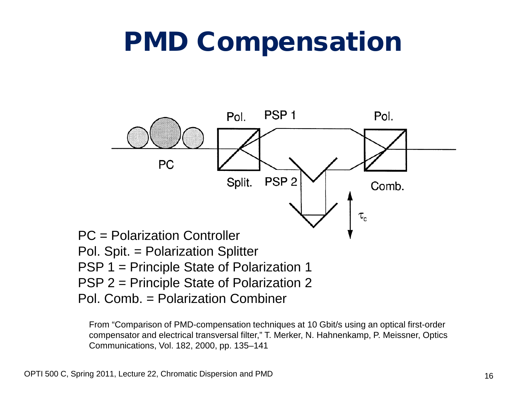### PMD Compensation



From "Comparison of PMD-compensation techniques at 10 Gbit/s using an optical first-order compensator and electrical transversal filter," T. Merker, N. Hahnenkamp, P. Meissner, Optics Communications, Vol. 182, 2000, pp. 135–141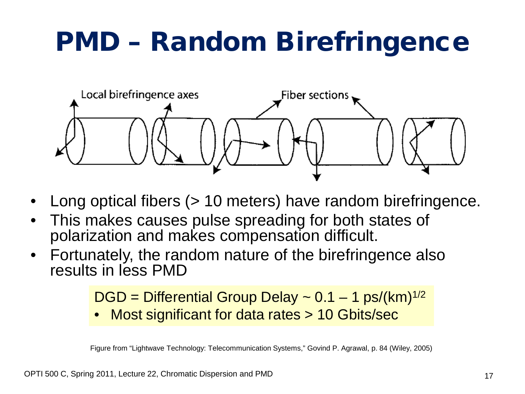# PMD – Random Birefringence



- Long optical fibers (> 10 meters) have random birefringence.
- This makes causes pulse spreading for both states of polarization and makes compensation difficult.
- Fortunately, the random nature of the birefringence also results in less PMD

```
DGD = Differential Group Delay \sim 0.1 - 1 ps/(km)<sup>1/2</sup>
```
• Most significant for data rates > 10 Gbits/sec

Figure from "Lightwave Technology: Telecommunication Systems," Govind P. Agrawal, p. 84 (Wiley, 2005)